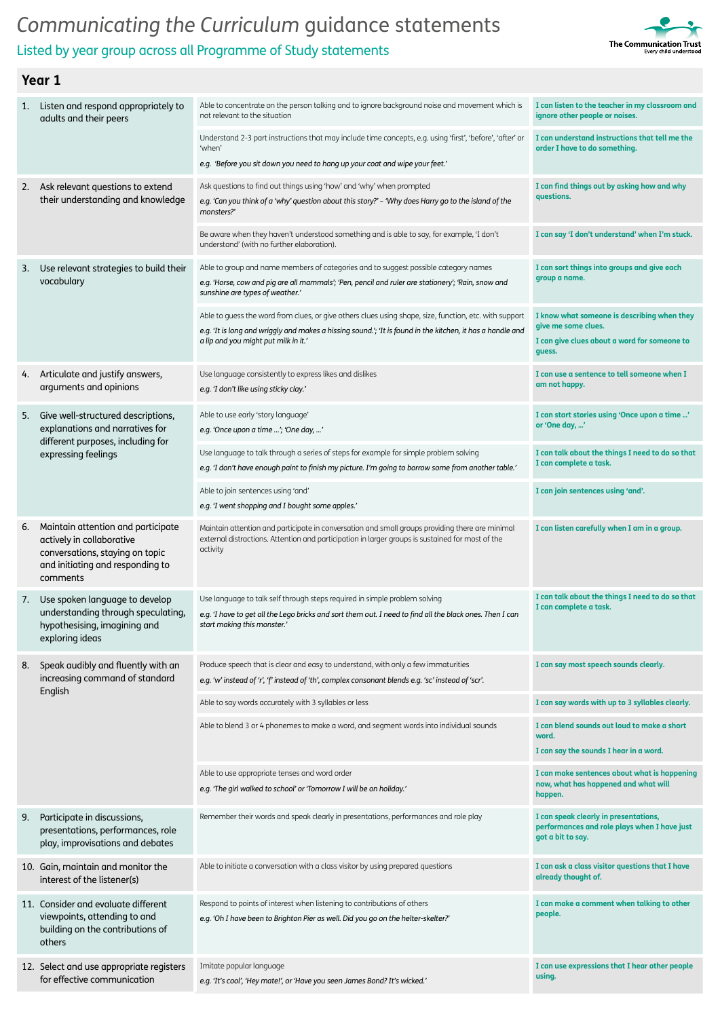



| 1. | Listen and respond appropriately to<br>adults and their peers                                                                                      | Able to concentrate on the person talking and to ignore background noise and movement which is<br>not relevant to the situation                                                                                                                              | I can listen to the teacher in my classroom and<br>ignore other people or noises.                                            |
|----|----------------------------------------------------------------------------------------------------------------------------------------------------|--------------------------------------------------------------------------------------------------------------------------------------------------------------------------------------------------------------------------------------------------------------|------------------------------------------------------------------------------------------------------------------------------|
|    |                                                                                                                                                    | Understand 2-3 part instructions that may include time concepts, e.g. using 'first', 'before', 'after' or<br>'when'<br>e.g. 'Before you sit down you need to hang up your coat and wipe your feet.'                                                          | I can understand instructions that tell me the<br>order I have to do something.                                              |
|    |                                                                                                                                                    |                                                                                                                                                                                                                                                              |                                                                                                                              |
| 2. | Ask relevant questions to extend<br>their understanding and knowledge                                                                              | Ask questions to find out things using 'how' and 'why' when prompted<br>e.g. 'Can you think of a 'why' question about this story?' - 'Why does Harry go to the island of the<br>monsters?'                                                                   | I can find things out by asking how and why<br>questions.                                                                    |
|    |                                                                                                                                                    | Be aware when they haven't understood something and is able to say, for example, 'I don't<br>understand' (with no further elaboration).                                                                                                                      | I can say 'I don't understand' when I'm stuck.                                                                               |
| 3. | Use relevant strategies to build their<br>vocabulary                                                                                               | Able to group and name members of categories and to suggest possible category names<br>e.g. 'Horse, cow and pig are all mammals'; 'Pen, pencil and ruler are stationery'; 'Rain, snow and<br>sunshine are types of weather.'                                 | I can sort things into groups and give each<br>group a name.                                                                 |
|    |                                                                                                                                                    | Able to quess the word from clues, or give others clues using shape, size, function, etc. with support<br>e.g. 'It is long and wriggly and makes a hissing sound.'; 'It is found in the kitchen, it has a handle and<br>a lip and you might put milk in it.' | I know what someone is describing when they<br>give me some clues.<br>I can give clues about a word for someone to<br>guess. |
| 4. | Articulate and justify answers,<br>arguments and opinions                                                                                          | Use language consistently to express likes and dislikes<br>e.g. 'I don't like using sticky clay.'                                                                                                                                                            | I can use a sentence to tell someone when I<br>am not happy.                                                                 |
| 5. | Give well-structured descriptions,<br>explanations and narratives for                                                                              | Able to use early 'story language'<br>e.g. 'Once upon a time '; 'One day, '                                                                                                                                                                                  | I can start stories using 'Once upon a time '<br>or 'One day, '                                                              |
|    | different purposes, including for<br>expressing feelings                                                                                           | Use language to talk through a series of steps for example for simple problem solving<br>e.g. 'I don't have enough paint to finish my picture. I'm going to borrow some from another table.'                                                                 | I can talk about the things I need to do so that<br>I can complete a task.                                                   |
|    |                                                                                                                                                    | Able to join sentences using 'and'<br>e.g. 'I went shopping and I bought some apples.'                                                                                                                                                                       | I can join sentences using 'and'.                                                                                            |
| 6. | Maintain attention and participate<br>actively in collaborative<br>conversations, staying on topic<br>and initiating and responding to<br>comments | Maintain attention and participate in conversation and small groups providing there are minimal<br>external distractions. Attention and participation in larger groups is sustained for most of the<br>activity                                              | I can listen carefully when I am in a group.                                                                                 |
| 7. | Use spoken language to develop<br>understanding through speculating,<br>hypothesising, imagining and<br>exploring ideas                            | Use language to talk self through steps required in simple problem solving<br>e.g. 'I have to get all the Lego bricks and sort them out. I need to find all the black ones. Then I can<br>start making this monster.'                                        | I can talk about the things I need to do so that<br>I can complete a task.                                                   |
| 8. | Speak audibly and fluently with an<br>increasing command of standard                                                                               | Produce speech that is clear and easy to understand, with only a few immaturities<br>e.g. 'w' instead of 'r', 'f' instead of 'th', complex consonant blends e.g. 'sc' instead of 'scr'.                                                                      | I can say most speech sounds clearly.                                                                                        |
|    | English                                                                                                                                            | Able to say words accurately with 3 syllables or less                                                                                                                                                                                                        | I can say words with up to 3 syllables clearly.                                                                              |
|    |                                                                                                                                                    | Able to blend 3 or 4 phonemes to make a word, and segment words into individual sounds                                                                                                                                                                       | I can blend sounds out loud to make a short<br>word.<br>I can say the sounds I hear in a word.                               |
|    |                                                                                                                                                    | Able to use appropriate tenses and word order<br>e.g. 'The girl walked to school' or 'Tomorrow I will be on holiday.'                                                                                                                                        | I can make sentences about what is happening<br>now, what has happened and what will<br>happen.                              |
| 9. | Participate in discussions,<br>presentations, performances, role<br>play, improvisations and debates                                               | Remember their words and speak clearly in presentations, performances and role play                                                                                                                                                                          | I can speak clearly in presentations,<br>performances and role plays when I have just<br>got a bit to say.                   |
|    | 10. Gain, maintain and monitor the<br>interest of the listener(s)                                                                                  | Able to initiate a conversation with a class visitor by using prepared questions                                                                                                                                                                             | I can ask a class visitor questions that I have<br>already thought of.                                                       |
|    | 11. Consider and evaluate different<br>viewpoints, attending to and<br>building on the contributions of<br>others                                  | Respond to points of interest when listening to contributions of others<br>e.g. 'Oh I have been to Brighton Pier as well. Did you go on the helter-skelter?'                                                                                                 | I can make a comment when talking to other<br>people.                                                                        |
|    | 12. Select and use appropriate registers<br>for effective communication                                                                            | Imitate popular language<br>e.g. 'It's cool', 'Hey mate!', or 'Have you seen James Bond? It's wicked.'                                                                                                                                                       | I can use expressions that I hear other people<br>using.                                                                     |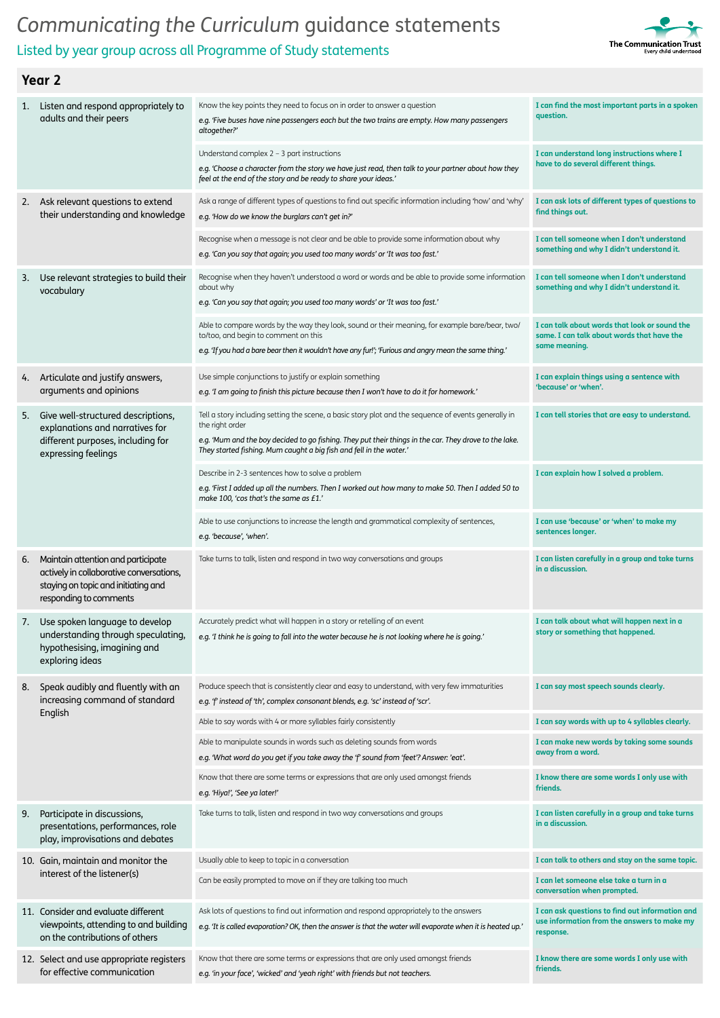## Listed by year group across all Programme of Study statements



| 1.  | Listen and respond appropriately to<br>adults and their peers                                                                                   | Know the key points they need to focus on in order to answer a question<br>e.g. 'Five buses have nine passengers each but the two trains are empty. How many passengers<br>altogether?'                                                           | I can find the most important parts in a spoken<br>question.                                                 |
|-----|-------------------------------------------------------------------------------------------------------------------------------------------------|---------------------------------------------------------------------------------------------------------------------------------------------------------------------------------------------------------------------------------------------------|--------------------------------------------------------------------------------------------------------------|
|     |                                                                                                                                                 | Understand complex $2 - 3$ part instructions<br>e.g. 'Choose a character from the story we have just read, then talk to your partner about how they<br>feel at the end of the story and be ready to share your ideas.'                            | I can understand long instructions where I<br>have to do several different things.                           |
| 2.  | Ask relevant questions to extend<br>their understanding and knowledge                                                                           | Ask a range of different types of questions to find out specific information including 'how' and 'why'<br>e.g. 'How do we know the burglars can't get in?'                                                                                        | I can ask lots of different types of questions to<br>find things out.                                        |
|     |                                                                                                                                                 | Recognise when a message is not clear and be able to provide some information about why<br>e.g. 'Can you say that again; you used too many words' or 'It was too fast.'                                                                           | I can tell someone when I don't understand<br>something and why I didn't understand it.                      |
| 3.  | Use relevant strategies to build their<br>vocabulary                                                                                            | Recognise when they haven't understood a word or words and be able to provide some information<br>about why<br>e.g. 'Can you say that again; you used too many words' or 'It was too fast.'                                                       | I can tell someone when I don't understand<br>something and why I didn't understand it.                      |
|     |                                                                                                                                                 | Able to compare words by the way they look, sound or their meaning, for example bare/bear, two/<br>to/too, and begin to comment on this<br>e.g. 'If you had a bare bear then it wouldn't have any fur!'; 'Furious and angry mean the same thing.' | I can talk about words that look or sound the<br>same. I can talk about words that have the<br>same meaning. |
| 4.  | Articulate and justify answers,<br>arguments and opinions                                                                                       | Use simple conjunctions to justify or explain something<br>e.g. 'I am going to finish this picture because then I won't have to do it for homework.'                                                                                              | I can explain things using a sentence with<br>'because' or 'when'.                                           |
| 5.  | Give well-structured descriptions,<br>explanations and narratives for                                                                           | Tell a story including setting the scene, a basic story plot and the sequence of events generally in<br>the right order                                                                                                                           | I can tell stories that are easy to understand.                                                              |
|     | different purposes, including for<br>expressing feelings                                                                                        | e.g. 'Mum and the boy decided to go fishing. They put their things in the car. They drove to the lake.<br>They started fishing. Mum caught a big fish and fell in the water.'                                                                     |                                                                                                              |
|     |                                                                                                                                                 | Describe in 2-3 sentences how to solve a problem<br>e.g. 'First I added up all the numbers. Then I worked out how many to make 50. Then I added 50 to<br>make 100, 'cos that's the same as £1.'                                                   | I can explain how I solved a problem.                                                                        |
|     |                                                                                                                                                 | Able to use conjunctions to increase the length and grammatical complexity of sentences,<br>e.g. 'because', 'when'.                                                                                                                               | I can use 'because' or 'when' to make my<br>sentences longer.                                                |
| 6.  | Maintain attention and participate<br>actively in collaborative conversations,<br>staying on topic and initiating and<br>responding to comments | Take turns to talk, listen and respond in two way conversations and groups                                                                                                                                                                        | I can listen carefully in a group and take turns<br>in a discussion.                                         |
| 7.  | Use spoken language to develop<br>understanding through speculating,<br>hypothesising, imagining and<br>exploring ideas                         | Accurately predict what will happen in a story or retelling of an event<br>e.g. 'I think he is going to fall into the water because he is not looking where he is going.'                                                                         | I can talk about what will happen next in a<br>story or something that happened.                             |
| 8.  | Speak audibly and fluently with an<br>increasing command of standard<br>English                                                                 | Produce speech that is consistently clear and easy to understand, with very few immaturities<br>e.g. 'f' instead of 'th', complex consonant blends, e.g. 'sc' instead of 'scr'.                                                                   | I can say most speech sounds clearly.                                                                        |
|     |                                                                                                                                                 | Able to say words with 4 or more syllables fairly consistently                                                                                                                                                                                    | I can say words with up to 4 syllables clearly.                                                              |
|     |                                                                                                                                                 | Able to manipulate sounds in words such as deleting sounds from words<br>e.g. 'What word do you get if you take away the 'f' sound from 'feet'? Answer: 'eat'.                                                                                    | I can make new words by taking some sounds<br>away from a word.                                              |
|     |                                                                                                                                                 | Know that there are some terms or expressions that are only used amongst friends<br>e.g. 'Hiya!', 'See ya later!'                                                                                                                                 | I know there are some words I only use with<br>friends.                                                      |
| 9.  | Participate in discussions,<br>presentations, performances, role<br>play, improvisations and debates                                            | Take turns to talk, listen and respond in two way conversations and groups                                                                                                                                                                        | I can listen carefully in a group and take turns<br>in a discussion.                                         |
|     | 10. Gain, maintain and monitor the                                                                                                              | Usually able to keep to topic in a conversation                                                                                                                                                                                                   | I can talk to others and stay on the same topic.                                                             |
|     | interest of the listener(s)                                                                                                                     | Can be easily prompted to move on if they are talking too much                                                                                                                                                                                    | I can let someone else take a turn in a<br>conversation when prompted.                                       |
| 11. | Consider and evaluate different<br>viewpoints, attending to and building<br>on the contributions of others                                      | Ask lots of questions to find out information and respond appropriately to the answers<br>e.g. 'It is called evaporation? OK, then the answer is that the water will evaporate when it is heated up.'                                             | I can ask questions to find out information and<br>use information from the answers to make my<br>response.  |
|     | 12. Select and use appropriate registers<br>for effective communication                                                                         | Know that there are some terms or expressions that are only used amongst friends<br>e.g. 'in your face', 'wicked' and 'yeah right' with friends but not teachers.                                                                                 | I know there are some words I only use with<br>friends.                                                      |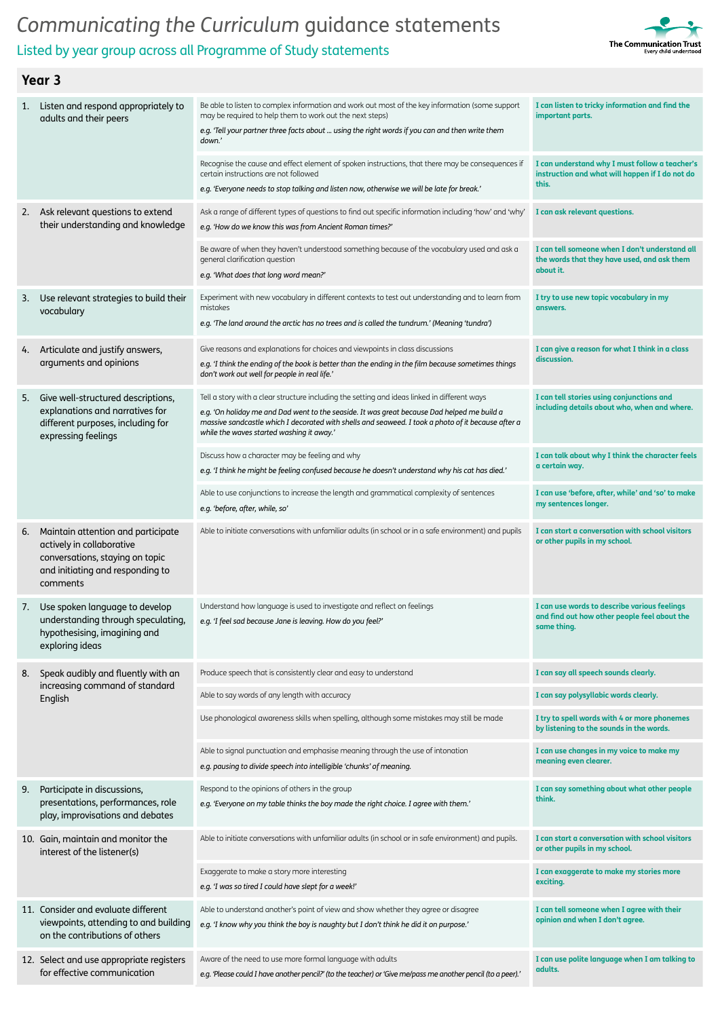



| 1. | Listen and respond appropriately to<br>adults and their peers                                                                                      | Be able to listen to complex information and work out most of the key information (some support<br>may be required to help them to work out the next steps)<br>e.g. 'Tell your partner three facts about  using the right words if you can and then write them<br>down.'                                                                       | I can listen to tricky information and find the<br>important parts.                                         |
|----|----------------------------------------------------------------------------------------------------------------------------------------------------|------------------------------------------------------------------------------------------------------------------------------------------------------------------------------------------------------------------------------------------------------------------------------------------------------------------------------------------------|-------------------------------------------------------------------------------------------------------------|
|    |                                                                                                                                                    | Recognise the cause and effect element of spoken instructions, that there may be consequences if<br>certain instructions are not followed<br>e.g. 'Everyone needs to stop talking and listen now, otherwise we will be late for break.'                                                                                                        | I can understand why I must follow a teacher's<br>instruction and what will happen if I do not do<br>this.  |
| 2. | Ask relevant questions to extend<br>their understanding and knowledge                                                                              | Ask a range of different types of questions to find out specific information including 'how' and 'why'<br>e.g. 'How do we know this was from Ancient Roman times?'                                                                                                                                                                             | I can ask relevant questions.                                                                               |
|    |                                                                                                                                                    | Be aware of when they haven't understood something because of the vocabulary used and ask a<br>general clarification question<br>e.g. 'What does that long word mean?'                                                                                                                                                                         | I can tell someone when I don't understand all<br>the words that they have used, and ask them<br>about it.  |
| 3. | Use relevant strategies to build their<br>vocabulary                                                                                               | Experiment with new vocabulary in different contexts to test out understanding and to learn from<br>mistakes<br>e.g. 'The land around the arctic has no trees and is called the tundrum.' (Meaning 'tundra')                                                                                                                                   | I try to use new topic vocabulary in my<br>answers.                                                         |
| 4. | Articulate and justify answers,<br>arguments and opinions                                                                                          | Give reasons and explanations for choices and viewpoints in class discussions<br>e.g. 'I think the ending of the book is better than the ending in the film because sometimes things<br>don't work out well for people in real life.'                                                                                                          | I can give a reason for what I think in a class<br>discussion.                                              |
| 5. | Give well-structured descriptions,<br>explanations and narratives for<br>different purposes, including for<br>expressing feelings                  | Tell a story with a clear structure including the setting and ideas linked in different ways<br>e.g. 'On holiday me and Dad went to the seaside. It was great because Dad helped me build a<br>massive sandcastle which I decorated with shells and seaweed. I took a photo of it because after a<br>while the waves started washing it away.' | I can tell stories using conjunctions and<br>including details about who, when and where.                   |
|    |                                                                                                                                                    | Discuss how a character may be feeling and why<br>e.g. 'I think he might be feeling confused because he doesn't understand why his cat has died.'                                                                                                                                                                                              | I can talk about why I think the character feels<br>a certain way.                                          |
|    |                                                                                                                                                    | Able to use conjunctions to increase the length and grammatical complexity of sentences<br>e.g. 'before, after, while, so'                                                                                                                                                                                                                     | I can use 'before, after, while' and 'so' to make<br>my sentences longer.                                   |
| 6. | Maintain attention and participate<br>actively in collaborative<br>conversations, staying on topic<br>and initiating and responding to<br>comments | Able to initiate conversations with unfamiliar adults (in school or in a safe environment) and pupils                                                                                                                                                                                                                                          | I can start a conversation with school visitors<br>or other pupils in my school.                            |
| 7. | Use spoken language to develop<br>understanding through speculating,<br>hypothesising, imagining and<br>exploring ideas                            | Understand how language is used to investigate and reflect on feelings<br>e.g. 'I feel sad because Jane is leaving. How do you feel?'                                                                                                                                                                                                          | I can use words to describe various feelings<br>and find out how other people feel about the<br>same thing. |
| 8. | Speak audibly and fluently with an                                                                                                                 | Produce speech that is consistently clear and easy to understand                                                                                                                                                                                                                                                                               | I can say all speech sounds clearly.                                                                        |
|    | increasing command of standard<br>English                                                                                                          | Able to say words of any length with accuracy                                                                                                                                                                                                                                                                                                  | I can say polysyllabic words clearly.                                                                       |
|    |                                                                                                                                                    | Use phonological awareness skills when spelling, although some mistakes may still be made                                                                                                                                                                                                                                                      | I try to spell words with 4 or more phonemes<br>by listening to the sounds in the words.                    |
|    |                                                                                                                                                    | Able to signal punctuation and emphasise meaning through the use of intonation<br>e.g. pausing to divide speech into intelligible 'chunks' of meaning.                                                                                                                                                                                         | I can use changes in my voice to make my<br>meaning even clearer.                                           |
| 9. | Participate in discussions,<br>presentations, performances, role<br>play, improvisations and debates                                               | Respond to the opinions of others in the group<br>e.g. 'Everyone on my table thinks the boy made the right choice. I agree with them.'                                                                                                                                                                                                         | I can say something about what other people<br>think.                                                       |
|    | 10. Gain, maintain and monitor the<br>interest of the listener(s)                                                                                  | Able to initiate conversations with unfamiliar adults (in school or in safe environment) and pupils.                                                                                                                                                                                                                                           | I can start a conversation with school visitors<br>or other pupils in my school.                            |
|    |                                                                                                                                                    | Exaggerate to make a story more interesting<br>e.g. 'I was so tired I could have slept for a week!'                                                                                                                                                                                                                                            | I can exaggerate to make my stories more<br>exciting.                                                       |
|    | 11. Consider and evaluate different<br>viewpoints, attending to and building<br>on the contributions of others                                     | Able to understand another's point of view and show whether they agree or disagree<br>e.g. 'I know why you think the boy is naughty but I don't think he did it on purpose.'                                                                                                                                                                   | I can tell someone when I agree with their<br>opinion and when I don't agree.                               |
|    | 12. Select and use appropriate registers<br>for effective communication                                                                            | Aware of the need to use more formal language with adults<br>e.g. 'Please could I have another pencil?' (to the teacher) or 'Give me/pass me another pencil (to a peer).'                                                                                                                                                                      | I can use polite language when I am talking to<br>adults.                                                   |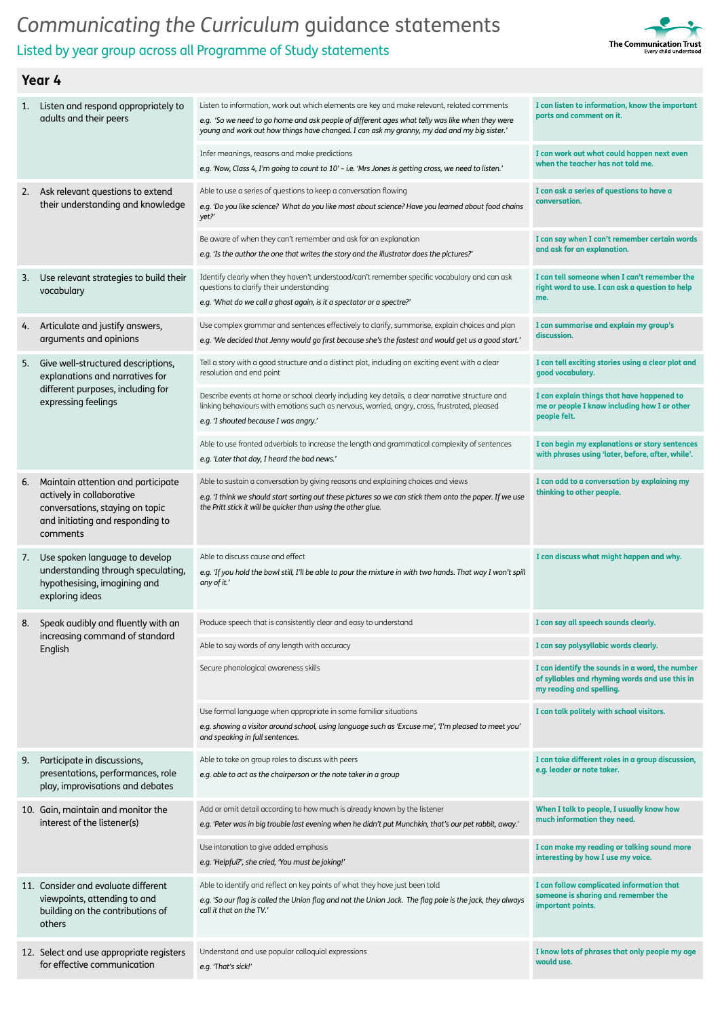Listed by year group across all Programme of Study statements



| 1. | Listen and respond appropriately to<br>adults and their peers                                                                                      | Listen to information, work out which elements are key and make relevant, related comments<br>e.g. 'So we need to go home and ask people of different ages what telly was like when they were<br>young and work out how things have changed. I can ask my granny, my dad and my big sister.' | I can listen to information, know the important<br>parts and comment on it.                                                   |
|----|----------------------------------------------------------------------------------------------------------------------------------------------------|----------------------------------------------------------------------------------------------------------------------------------------------------------------------------------------------------------------------------------------------------------------------------------------------|-------------------------------------------------------------------------------------------------------------------------------|
|    |                                                                                                                                                    | Infer meanings, reasons and make predictions<br>e.g. 'Now, Class 4, I'm going to count to 10' - i.e. 'Mrs Jones is getting cross, we need to listen.'                                                                                                                                        | I can work out what could happen next even<br>when the teacher has not told me.                                               |
| 2. | Ask relevant questions to extend<br>their understanding and knowledge                                                                              | Able to use a series of questions to keep a conversation flowing<br>e.g. 'Do you like science? What do you like most about science? Have you learned about food chains<br>yet?'                                                                                                              | I can ask a series of questions to have a<br>conversation.                                                                    |
|    |                                                                                                                                                    | Be aware of when they can't remember and ask for an explanation<br>e.g. 'Is the author the one that writes the story and the illustrator does the pictures?'                                                                                                                                 | I can say when I can't remember certain words<br>and ask for an explanation.                                                  |
| 3. | Use relevant strategies to build their<br>vocabulary                                                                                               | Identify clearly when they haven't understood/can't remember specific vocabulary and can ask<br>questions to clarify their understanding<br>e.g. 'What do we call a ghost again, is it a spectator or a spectre?'                                                                            | I can tell someone when I can't remember the<br>right word to use. I can ask a question to help<br>me.                        |
| 4. | Articulate and justify answers,<br>arguments and opinions                                                                                          | Use complex grammar and sentences effectively to clarify, summarise, explain choices and plan<br>e.g. 'We decided that Jenny would go first because she's the fastest and would get us a good start.'                                                                                        | I can summarise and explain my group's<br>discussion.                                                                         |
| 5. | Give well-structured descriptions,<br>explanations and narratives for                                                                              | Tell a story with a good structure and a distinct plot, including an exciting event with a clear<br>resolution and end point                                                                                                                                                                 | I can tell exciting stories using a clear plot and<br>good vocabulary.                                                        |
|    | different purposes, including for<br>expressing feelings                                                                                           | Describe events at home or school clearly including key details, a clear narrative structure and<br>linking behaviours with emotions such as nervous, worried, angry, cross, frustrated, pleased<br>e.g. 'I shouted because I was angry.'                                                    | I can explain things that have happened to<br>me or people I know including how I or other<br>people felt.                    |
|    |                                                                                                                                                    | Able to use fronted adverbials to increase the length and grammatical complexity of sentences<br>e.g. 'Later that day, I heard the bad news.'                                                                                                                                                | I can begin my explanations or story sentences<br>with phrases using 'later, before, after, while'.                           |
| ь. | Maintain attention and participate<br>actively in collaborative<br>conversations, staying on topic<br>and initiating and responding to<br>comments | Able to sustain a conversation by giving reasons and explaining choices and views<br>e.g. 'I think we should start sorting out these pictures so we can stick them onto the paper. If we use<br>the Pritt stick it will be quicker than using the other glue.                                | I can add to a conversation by explaining my<br>thinking to other people.                                                     |
|    |                                                                                                                                                    |                                                                                                                                                                                                                                                                                              |                                                                                                                               |
| 7. | Use spoken language to develop<br>understanding through speculating,<br>hypothesising, imagining and<br>exploring ideas                            | Able to discuss cause and effect<br>e.q. 'If you hold the bowl still, I'll be able to pour the mixture in with two hands. That way I won't spill<br>any of it.'                                                                                                                              | I can discuss what might happen and why.                                                                                      |
| 8. | Speak audibly and fluently with an                                                                                                                 | Produce speech that is consistently clear and easy to understand                                                                                                                                                                                                                             | I can say all speech sounds clearly.                                                                                          |
|    | increasing command of standard<br>English                                                                                                          | Able to say words of any length with accuracy                                                                                                                                                                                                                                                | I can say polysyllabic words clearly.                                                                                         |
|    |                                                                                                                                                    | Secure phonological awareness skills                                                                                                                                                                                                                                                         | I can identify the sounds in a word, the number<br>of syllables and rhyming words and use this in<br>my reading and spelling. |
|    |                                                                                                                                                    | Use formal language when appropriate in some familiar situations<br>e.g. showing a visitor around school, using language such as 'Excuse me', 'I'm pleased to meet you'<br>and speaking in full sentences.                                                                                   | I can talk politely with school visitors.                                                                                     |
| 9. | Participate in discussions,<br>presentations, performances, role<br>play, improvisations and debates                                               | Able to take on group roles to discuss with peers<br>e.g. able to act as the chairperson or the note taker in a group                                                                                                                                                                        | I can take different roles in a group discussion,<br>e.g. leader or note taker.                                               |
|    | 10. Gain, maintain and monitor the<br>interest of the listener(s)                                                                                  | Add or omit detail according to how much is already known by the listener<br>e.g. 'Peter was in big trouble last evening when he didn't put Munchkin, that's our pet rabbit, away.'                                                                                                          | When I talk to people, I usually know how<br>much information they need.                                                      |
|    |                                                                                                                                                    | Use intonation to give added emphasis<br>e.g. 'Helpful?', she cried, 'You must be joking!'                                                                                                                                                                                                   | I can make my reading or talking sound more<br>interesting by how I use my voice.                                             |
|    | 11. Consider and evaluate different<br>viewpoints, attending to and<br>building on the contributions of<br>others                                  | Able to identify and reflect on key points of what they have just been told<br>e.g. 'So our flag is called the Union flag and not the Union Jack. The flag pole is the jack, they always<br>call it that on the TV.'                                                                         | I can follow complicated information that<br>someone is sharing and remember the<br>important points.                         |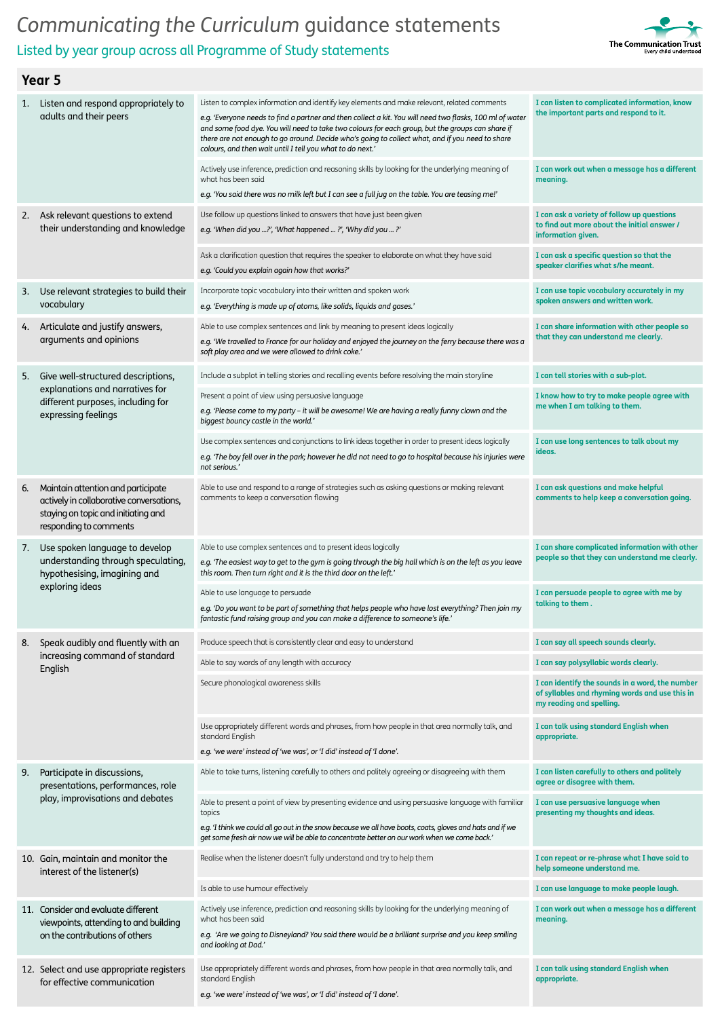### Listed by year group across all Programme of Study statements



| 1.  | Listen and respond appropriately to<br>adults and their peers                                                                                   | Listen to complex information and identify key elements and make relevant, related comments<br>e.g. 'Everyone needs to find a partner and then collect a kit. You will need two flasks, 100 ml of water<br>and some food dye. You will need to take two colours for each group, but the groups can share if<br>there are not enough to go around. Decide who's going to collect what, and if you need to share<br>colours, and then wait until I tell you what to do next.' | I can listen to complicated information, know<br>the important parts and respond to it.                                       |
|-----|-------------------------------------------------------------------------------------------------------------------------------------------------|-----------------------------------------------------------------------------------------------------------------------------------------------------------------------------------------------------------------------------------------------------------------------------------------------------------------------------------------------------------------------------------------------------------------------------------------------------------------------------|-------------------------------------------------------------------------------------------------------------------------------|
|     |                                                                                                                                                 | Actively use inference, prediction and reasoning skills by looking for the underlying meaning of<br>what has been said<br>e.g. 'You said there was no milk left but I can see a full jug on the table. You are teasing me!'                                                                                                                                                                                                                                                 | I can work out when a message has a different<br>meaning.                                                                     |
| 2.  | Ask relevant questions to extend<br>their understanding and knowledge                                                                           | Use follow up questions linked to answers that have just been given<br>e.g. 'When did you ?', 'What happened ?', 'Why did you ?'                                                                                                                                                                                                                                                                                                                                            | I can ask a variety of follow up questions<br>to find out more about the initial answer /<br>information given.               |
|     |                                                                                                                                                 | Ask a clarification question that requires the speaker to elaborate on what they have said<br>e.g. 'Could you explain again how that works?'                                                                                                                                                                                                                                                                                                                                | I can ask a specific question so that the<br>speaker clarifies what s/he meant.                                               |
| 3.  | Use relevant strategies to build their<br>vocabulary                                                                                            | Incorporate topic vocabulary into their written and spoken work<br>e.g. 'Everything is made up of atoms, like solids, liquids and gases.'                                                                                                                                                                                                                                                                                                                                   | I can use topic vocabulary accurately in my<br>spoken answers and written work.                                               |
| 4.  | Articulate and justify answers,<br>arguments and opinions                                                                                       | Able to use complex sentences and link by meaning to present ideas logically<br>e.g. 'We travelled to France for our holiday and enjoyed the journey on the ferry because there was a<br>soft play area and we were allowed to drink coke.'                                                                                                                                                                                                                                 | I can share information with other people so<br>that they can understand me clearly.                                          |
| 5.  | Give well-structured descriptions,                                                                                                              | Include a subplot in telling stories and recalling events before resolving the main storyline                                                                                                                                                                                                                                                                                                                                                                               | I can tell stories with a sub-plot.                                                                                           |
|     | explanations and narratives for<br>different purposes, including for<br>expressing feelings                                                     | Present a point of view using persuasive language<br>e.g. 'Please come to my party - it will be awesome! We are having a really funny clown and the<br>biggest bouncy castle in the world.'                                                                                                                                                                                                                                                                                 | I know how to try to make people agree with<br>me when I am talking to them.                                                  |
|     |                                                                                                                                                 | Use complex sentences and conjunctions to link ideas together in order to present ideas logically<br>e.g. 'The boy fell over in the park; however he did not need to go to hospital because his injuries were<br>not serious.'                                                                                                                                                                                                                                              | I can use long sentences to talk about my<br>ideas.                                                                           |
| 6.  | Maintain attention and participate<br>actively in collaborative conversations,<br>staying on topic and initiating and<br>responding to comments | Able to use and respond to a range of strategies such as asking questions or making relevant<br>comments to keep a conversation flowing                                                                                                                                                                                                                                                                                                                                     | I can ask questions and make helpful<br>comments to help keep a conversation going.                                           |
| 7.  | Use spoken language to develop<br>understanding through speculating,<br>hypothesising, imagining and<br>exploring ideas                         | Able to use complex sentences and to present ideas logically<br>e.g. 'The easiest way to get to the gym is going through the big hall which is on the left as you leave<br>this room. Then turn right and it is the third door on the left.'                                                                                                                                                                                                                                | I can share complicated information with other<br>people so that they can understand me clearly.                              |
|     |                                                                                                                                                 | Able to use language to persuade<br>e.g. 'Do you want to be part of something that helps people who have lost everything? Then join my<br>fantastic fund raising group and you can make a difference to someone's life.'                                                                                                                                                                                                                                                    | I can persuade people to agree with me by<br>talking to them.                                                                 |
| 8.  | Speak audibly and fluently with an                                                                                                              | Produce speech that is consistently clear and easy to understand                                                                                                                                                                                                                                                                                                                                                                                                            | I can say all speech sounds clearly.                                                                                          |
|     | increasing command of standard<br>English                                                                                                       | Able to say words of any length with accuracy                                                                                                                                                                                                                                                                                                                                                                                                                               | I can say polysyllabic words clearly.                                                                                         |
|     |                                                                                                                                                 | Secure phonological awareness skills                                                                                                                                                                                                                                                                                                                                                                                                                                        | I can identify the sounds in a word, the number<br>of syllables and rhyming words and use this in<br>my reading and spelling. |
|     |                                                                                                                                                 | Use appropriately different words and phrases, from how people in that area normally talk, and<br>standard English<br>e.g. 'we were' instead of 'we was', or 'I did' instead of 'I done'.                                                                                                                                                                                                                                                                                   | I can talk using standard English when<br>appropriate.                                                                        |
| 9.  | Participate in discussions,<br>presentations, performances, role<br>play, improvisations and debates                                            | Able to take turns, listening carefully to others and politely agreeing or disagreeing with them                                                                                                                                                                                                                                                                                                                                                                            | I can listen carefully to others and politely<br>agree or disagree with them.                                                 |
|     |                                                                                                                                                 | Able to present a point of view by presenting evidence and using persuasive language with familiar<br>topics                                                                                                                                                                                                                                                                                                                                                                | I can use persuasive language when<br>presenting my thoughts and ideas.                                                       |
|     |                                                                                                                                                 | e.g. 'I think we could all go out in the snow because we all have boots, coats, gloves and hats and if we<br>get some fresh air now we will be able to concentrate better on our work when we come back.'                                                                                                                                                                                                                                                                   |                                                                                                                               |
|     | 10. Gain, maintain and monitor the<br>interest of the listener(s)                                                                               | Realise when the listener doesn't fully understand and try to help them                                                                                                                                                                                                                                                                                                                                                                                                     | I can repeat or re-phrase what I have said to<br>help someone understand me.                                                  |
|     |                                                                                                                                                 | Is able to use humour effectively                                                                                                                                                                                                                                                                                                                                                                                                                                           | I can use language to make people laugh.                                                                                      |
| 11. | Consider and evaluate different<br>viewpoints, attending to and building<br>on the contributions of others                                      | Actively use inference, prediction and reasoning skills by looking for the underlying meaning of<br>what has been said<br>e.g. 'Are we going to Disneyland? You said there would be a brilliant surprise and you keep smiling<br>and looking at Dad.'                                                                                                                                                                                                                       | I can work out when a message has a different<br>meaning.                                                                     |
|     | 12. Select and use appropriate registers<br>for effective communication                                                                         | Use appropriately different words and phrases, from how people in that area normally talk, and<br>standard English<br>e.g. 'we were' instead of 'we was', or 'I did' instead of 'I done'.                                                                                                                                                                                                                                                                                   | I can talk using standard English when<br>appropriate.                                                                        |